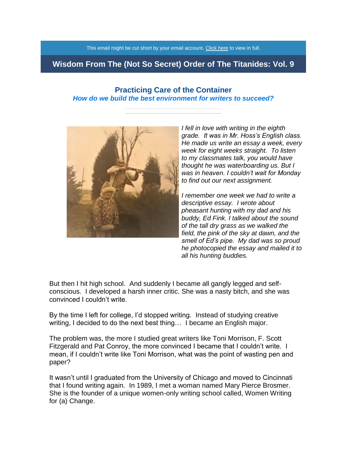This email might be cut short by your email account. [Click here](https://titanidesllc.acemlna.com/lt.php?notrack=1&s=73cf14e81b2f867eff107af92aee8531&i=91A136A7A539) to view in full.

# **Wisdom From The (Not So Secret) Order of The Titanides: Vol. 9**

### **Practicing Care of the Container** *How do we build the best environment for writers to succeed?*



*I fell in love with writing in the eighth grade. It was in Mr. Hoss's English class. He made us write an essay a week, every week for eight weeks straight. To listen to my classmates talk, you would have thought he was waterboarding us. But I was in heaven. I couldn't wait for Monday to find out our next assignment.*

*I remember one week we had to write a descriptive essay. I wrote about pheasant hunting with my dad and his buddy, Ed Fink. I talked about the sound of the tall dry grass as we walked the field, the pink of the sky at dawn, and the smell of Ed's pipe. My dad was so proud he photocopied the essay and mailed it to all his hunting buddies.*

But then I hit high school. And suddenly I became all gangly legged and selfconscious. I developed a harsh inner critic. She was a nasty bitch, and she was convinced I couldn't write.

By the time I left for college, I'd stopped writing. Instead of studying creative writing, I decided to do the next best thing… I became an English major.

The problem was, the more I studied great writers like Toni Morrison, F. Scott Fitzgerald and Pat Conroy, the more convinced I became that I couldn't write. I mean, if I couldn't write like Toni Morrison, what was the point of wasting pen and paper?

It wasn't until I graduated from the University of Chicago and moved to Cincinnati that I found writing again. In 1989, I met a woman named Mary Pierce Brosmer. She is the founder of a unique women-only writing school called, Women Writing for (a) Change.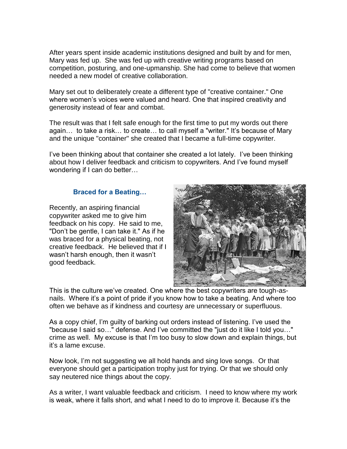After years spent inside academic institutions designed and built by and for men, Mary was fed up. She was fed up with creative writing programs based on competition, posturing, and one-upmanship. She had come to believe that women needed a new model of creative collaboration.

Mary set out to deliberately create a different type of "creative container." One where women's voices were valued and heard. One that inspired creativity and generosity instead of fear and combat.

The result was that I felt safe enough for the first time to put my words out there again… to take a risk… to create… to call myself a "writer." It's because of Mary and the unique "container" she created that I became a full-time copywriter.

I've been thinking about that container she created a lot lately. I've been thinking about how I deliver feedback and criticism to copywriters. And I've found myself wondering if I can do better…

### **Braced for a Beating…**

Recently, an aspiring financial copywriter asked me to give him feedback on his copy. He said to me, "Don't be gentle, I can take it." As if he was braced for a physical beating, not creative feedback. He believed that if I wasn't harsh enough, then it wasn't good feedback.



This is the culture we've created. One where the best copywriters are tough-asnails. Where it's a point of pride if you know how to take a beating. And where too often we behave as if kindness and courtesy are unnecessary or superfluous.

As a copy chief, I'm guilty of barking out orders instead of listening. I've used the "because I said so…" defense. And I've committed the "just do it like I told you…" crime as well. My excuse is that I'm too busy to slow down and explain things, but it's a lame excuse.

Now look, I'm not suggesting we all hold hands and sing love songs. Or that everyone should get a participation trophy just for trying. Or that we should only say neutered nice things about the copy.

As a writer, I want valuable feedback and criticism. I need to know where my work is weak, where it falls short, and what I need to do to improve it. Because it's the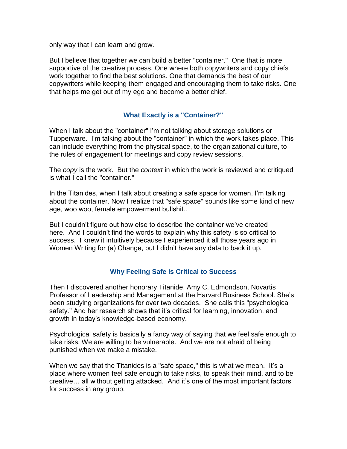only way that I can learn and grow.

But I believe that together we can build a better "container." One that is more supportive of the creative process. One where both copywriters and copy chiefs work together to find the best solutions. One that demands the best of our copywriters while keeping them engaged and encouraging them to take risks. One that helps me get out of my ego and become a better chief.

### **What Exactly is a "Container?"**

When I talk about the "container" I'm not talking about storage solutions or Tupperware. I'm talking about the "container" in which the work takes place. This can include everything from the physical space, to the organizational culture, to the rules of engagement for meetings and copy review sessions.

The *copy* is the work. But the *context* in which the work is reviewed and critiqued is what I call the "container."

In the Titanides, when I talk about creating a safe space for women, I'm talking about the container. Now I realize that "safe space" sounds like some kind of new age, woo woo, female empowerment bullshit…

But I couldn't figure out how else to describe the container we've created here. And I couldn't find the words to explain why this safety is so critical to success. I knew it intuitively because I experienced it all those years ago in Women Writing for (a) Change, but I didn't have any data to back it up.

### **Why Feeling Safe is Critical to Success**

Then I discovered another honorary Titanide, Amy C. Edmondson, Novartis Professor of Leadership and Management at the Harvard Business School. She's been studying organizations for over two decades. She calls this "psychological safety." And her research shows that it's critical for learning, innovation, and growth in today's knowledge-based economy.

Psychological safety is basically a fancy way of saying that we feel safe enough to take risks. We are willing to be vulnerable. And we are not afraid of being punished when we make a mistake.

When we say that the Titanides is a "safe space," this is what we mean. It's a place where women feel safe enough to take risks, to speak their mind, and to be creative… all without getting attacked. And it's one of the most important factors for success in any group.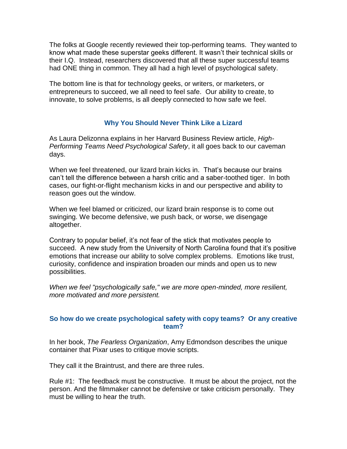The folks at Google recently reviewed their top-performing teams. They wanted to know what made these superstar geeks different. It wasn't their technical skills or their I.Q. Instead, researchers discovered that all these super successful teams had ONE thing in common. They all had a high level of psychological safety.

The bottom line is that for technology geeks, or writers, or marketers, or entrepreneurs to succeed, we all need to feel safe. Our ability to create, to innovate, to solve problems, is all deeply connected to how safe we feel.

### **Why You Should Never Think Like a Lizard**

As Laura Delizonna explains in her Harvard Business Review article, *High-Performing Teams Need Psychological Safety*, it all goes back to our caveman days.

When we feel threatened, our lizard brain kicks in. That's because our brains can't tell the difference between a harsh critic and a saber-toothed tiger. In both cases, our fight-or-flight mechanism kicks in and our perspective and ability to reason goes out the window.

When we feel blamed or criticized, our lizard brain response is to come out swinging. We become defensive, we push back, or worse, we disengage altogether.

Contrary to popular belief, it's not fear of the stick that motivates people to succeed. A new study from the University of North Carolina found that it's positive emotions that increase our ability to solve complex problems. Emotions like trust, curiosity, confidence and inspiration broaden our minds and open us to new possibilities.

*When we feel "psychologically safe," we are more open-minded, more resilient, more motivated and more persistent.*

### **So how do we create psychological safety with copy teams? Or any creative team?**

In her book, *The Fearless Organization*, Amy Edmondson describes the unique container that Pixar uses to critique movie scripts.

They call it the Braintrust, and there are three rules.

Rule #1: The feedback must be constructive. It must be about the project, not the person. And the filmmaker cannot be defensive or take criticism personally. They must be willing to hear the truth.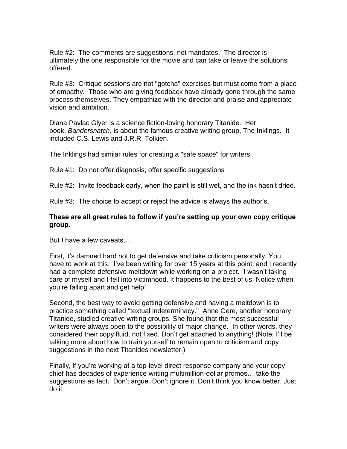Rule #2: The comments are suggestions, not mandates. The director is ultimately the one responsible for the movie and can take or leave the solutions offered.

Rule #3: Critique sessions are not "gotcha" exercises but must come from a place of empathy. Those who are giving feedback have already gone through the same process themselves. They empathize with the director and praise and appreciate vision and ambition.

Diana Pavlac Glyer is a science fiction-loving honorary Titanide. Her book, *Bandersnatch*, is about the famous creative writing group, The Inklings. It included C.S. Lewis and J.R.R. Tolkien.

The Inklings had similar rules for creating a "safe space" for writers.

Rule #1: Do not offer diagnosis, offer specific suggestions

Rule #2: Invite feedback early, when the paint is still wet, and the ink hasn't dried.

Rule #3: The choice to accept or reject the advice is always the author's.

### **These are all great rules to follow if you're setting up your own copy critique group.**

But I have a few caveats….

First, it's damned hard not to get defensive and take criticism personally. You have to work at this. I've been writing for over 15 years at this point, and I recently had a complete defensive meltdown while working on a project. I wasn't taking care of myself and I fell into victimhood. It happens to the best of us. Notice when you're falling apart and get help!

Second, the best way to avoid getting defensive and having a meltdown is to practice something called "textual indeterminacy." Anne Gere, another honorary Titanide, studied creative writing groups. She found that the most successful writers were always open to the possibility of major change. In other words, they considered their copy fluid, not fixed. Don't get attached to anything! (Note: I'll be talking more about how to train yourself to remain open to criticism and copy suggestions in the next Titanides newsletter.)

Finally, if you're working at a top-level direct response company and your copy chief has decades of experience writing multimillion-dollar promos… take the suggestions as fact. Don't argue. Don't ignore it. Don't think you know better. Just do it.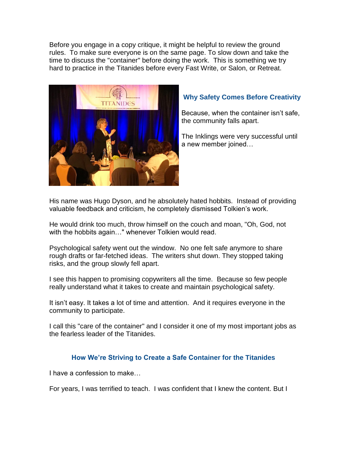Before you engage in a copy critique, it might be helpful to review the ground rules. To make sure everyone is on the same page. To slow down and take the time to discuss the "container" before doing the work. This is something we try hard to practice in the Titanides before every Fast Write, or Salon, or Retreat.



## **Why Safety Comes Before Creativity**

Because, when the container isn't safe, the community falls apart.

The Inklings were very successful until a new member joined…

His name was Hugo Dyson, and he absolutely hated hobbits. Instead of providing valuable feedback and criticism, he completely dismissed Tolkien's work.

He would drink too much, throw himself on the couch and moan, "Oh, God, not with the hobbits again…" whenever Tolkien would read.

Psychological safety went out the window. No one felt safe anymore to share rough drafts or far-fetched ideas. The writers shut down. They stopped taking risks, and the group slowly fell apart.

I see this happen to promising copywriters all the time. Because so few people really understand what it takes to create and maintain psychological safety.

It isn't easy. It takes a lot of time and attention. And it requires everyone in the community to participate.

I call this "care of the container" and I consider it one of my most important jobs as the fearless leader of the Titanides.

### **How We're Striving to Create a Safe Container for the Titanides**

I have a confession to make…

For years, I was terrified to teach. I was confident that I knew the content. But I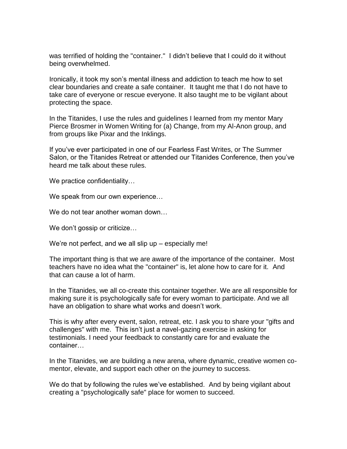was terrified of holding the "container." I didn't believe that I could do it without being overwhelmed.

Ironically, it took my son's mental illness and addiction to teach me how to set clear boundaries and create a safe container. It taught me that I do not have to take care of everyone or rescue everyone. It also taught me to be vigilant about protecting the space.

In the Titanides, I use the rules and guidelines I learned from my mentor Mary Pierce Brosmer in Women Writing for (a) Change, from my Al-Anon group, and from groups like Pixar and the Inklings.

If you've ever participated in one of our Fearless Fast Writes, or The Summer Salon, or the Titanides Retreat or attended our Titanides Conference, then you've heard me talk about these rules.

We practice confidentiality...

We speak from our own experience…

We do not tear another woman down…

We don't gossip or criticize...

We're not perfect, and we all slip up – especially me!

The important thing is that we are aware of the importance of the container. Most teachers have no idea what the "container" is, let alone how to care for it. And that can cause a lot of harm.

In the Titanides, we all co-create this container together. We are all responsible for making sure it is psychologically safe for every woman to participate. And we all have an obligation to share what works and doesn't work.

This is why after every event, salon, retreat, etc. I ask you to share your "gifts and challenges" with me. This isn't just a navel-gazing exercise in asking for testimonials. I need your feedback to constantly care for and evaluate the container…

In the Titanides, we are building a new arena, where dynamic, creative women comentor, elevate, and support each other on the journey to success.

We do that by following the rules we've established. And by being vigilant about creating a "psychologically safe" place for women to succeed.